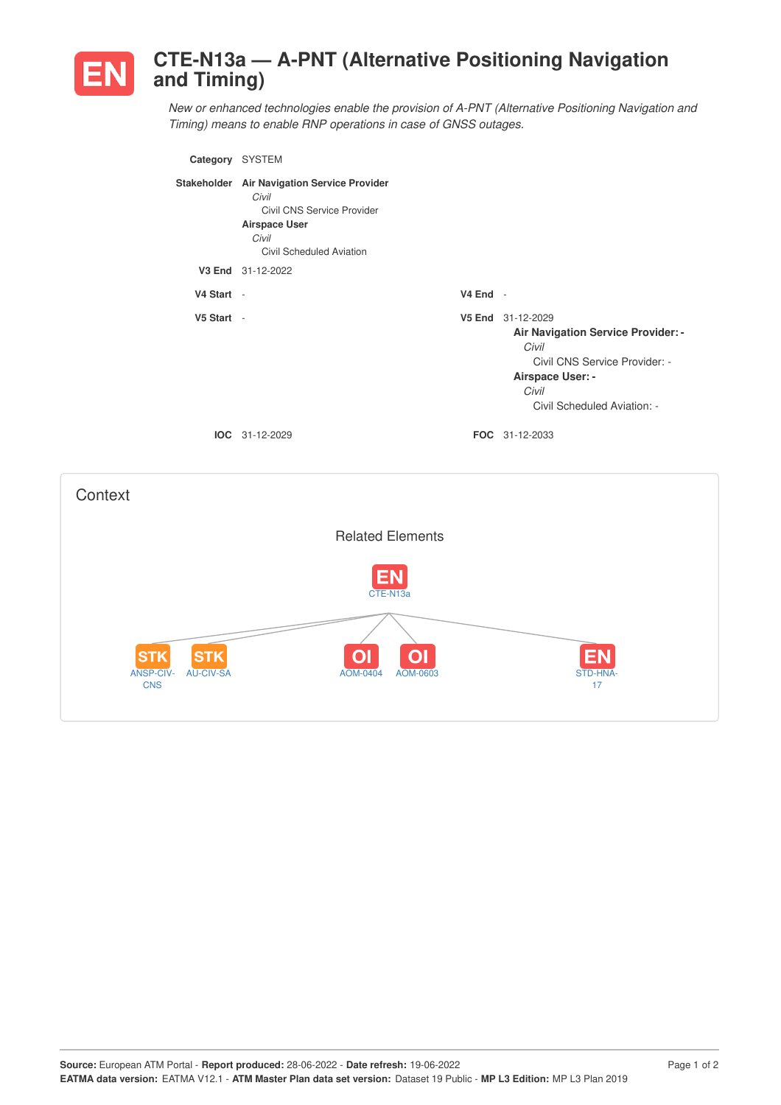

## **CTE-N13a — A-PNT (Alternative Positioning Navigation and Timing)**

*New or enhanced technologies enable the provision of A-PNT (Alternative Positioning Navigation and Timing) means to enable RNP operations in case of GNSS outages.*

| Category SYSTEM |                                                                                                                                                 |            |                                                                                                                                                                      |
|-----------------|-------------------------------------------------------------------------------------------------------------------------------------------------|------------|----------------------------------------------------------------------------------------------------------------------------------------------------------------------|
|                 | Stakeholder Air Navigation Service Provider<br>Civil<br>Civil CNS Service Provider<br><b>Airspace User</b><br>Civil<br>Civil Scheduled Aviation |            |                                                                                                                                                                      |
|                 | V3 End 31-12-2022                                                                                                                               |            |                                                                                                                                                                      |
| V4 Start -      |                                                                                                                                                 | $V4$ End - |                                                                                                                                                                      |
| V5 Start -      |                                                                                                                                                 |            | V5 End 31-12-2029<br><b>Air Navigation Service Provider: -</b><br>Civil<br>Civil CNS Service Provider: -<br>Airspace User: -<br>Civil<br>Civil Scheduled Aviation: - |
| IOC.            | 31-12-2029                                                                                                                                      |            | FOC 31-12-2033                                                                                                                                                       |